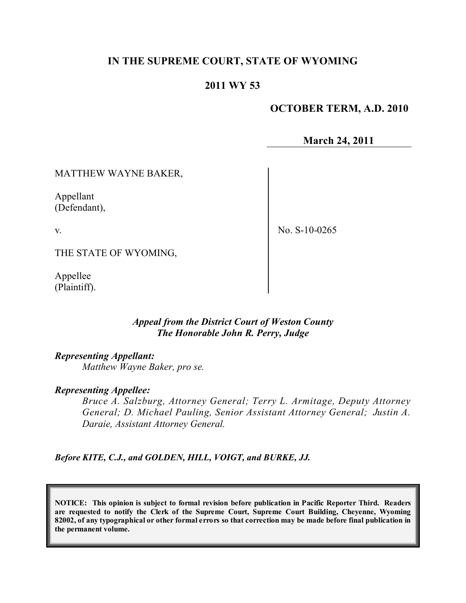## **IN THE SUPREME COURT, STATE OF WYOMING**

## **2011 WY 53**

### **OCTOBER TERM, A.D. 2010**

**March 24, 2011**

MATTHEW WAYNE BAKER,

Appellant (Defendant),

v.

No. S-10-0265

THE STATE OF WYOMING,

Appellee (Plaintiff).

### *Appeal from the District Court of Weston County The Honorable John R. Perry, Judge*

#### *Representing Appellant:*

*Matthew Wayne Baker, pro se.*

#### *Representing Appellee:*

*Bruce A. Salzburg, Attorney General; Terry L. Armitage, Deputy Attorney General; D. Michael Pauling, Senior Assistant Attorney General; Justin A. Daraie, Assistant Attorney General.*

*Before KITE, C.J., and GOLDEN, HILL, VOIGT, and BURKE, JJ.*

**NOTICE: This opinion is subject to formal revision before publication in Pacific Reporter Third. Readers are requested to notify the Clerk of the Supreme Court, Supreme Court Building, Cheyenne, Wyoming** 82002, of any typographical or other formal errors so that correction may be made before final publication in **the permanent volume.**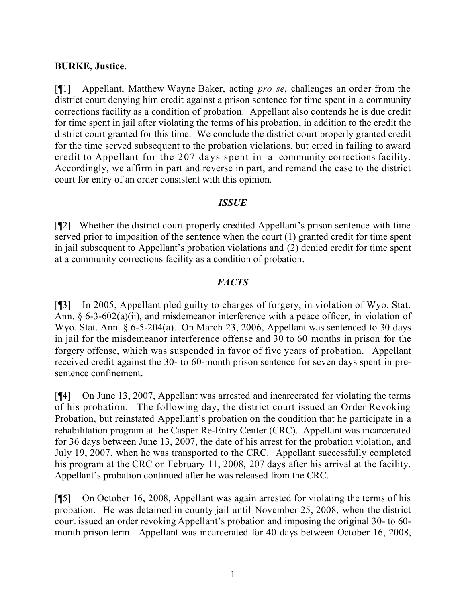### **BURKE, Justice.**

[¶1] Appellant, Matthew Wayne Baker, acting *pro se*, challenges an order from the district court denying him credit against a prison sentence for time spent in a community corrections facility as a condition of probation. Appellant also contends he is due credit for time spent in jail after violating the terms of his probation, in addition to the credit the district court granted for this time. We conclude the district court properly granted credit for the time served subsequent to the probation violations, but erred in failing to award credit to Appellant for the 207 days spent in a community corrections facility. Accordingly, we affirm in part and reverse in part, and remand the case to the district court for entry of an order consistent with this opinion.

#### *ISSUE*

[¶2] Whether the district court properly credited Appellant's prison sentence with time served prior to imposition of the sentence when the court (1) granted credit for time spent in jail subsequent to Appellant's probation violations and (2) denied credit for time spent at a community corrections facility as a condition of probation.

## *FACTS*

[¶3] In 2005, Appellant pled guilty to charges of forgery, in violation of Wyo. Stat. Ann. § 6-3-602(a)(ii), and misdemeanor interference with a peace officer, in violation of Wyo. Stat. Ann. § 6-5-204(a). On March 23, 2006, Appellant was sentenced to 30 days in jail for the misdemeanor interference offense and 30 to 60 months in prison for the forgery offense, which was suspended in favor of five years of probation. Appellant received credit against the 30- to 60-month prison sentence for seven days spent in presentence confinement.

[¶4] On June 13, 2007, Appellant was arrested and incarcerated for violating the terms of his probation. The following day, the district court issued an Order Revoking Probation, but reinstated Appellant's probation on the condition that he participate in a rehabilitation program at the Casper Re-Entry Center (CRC). Appellant was incarcerated for 36 days between June 13, 2007, the date of his arrest for the probation violation, and July 19, 2007, when he was transported to the CRC. Appellant successfully completed his program at the CRC on February 11, 2008, 207 days after his arrival at the facility. Appellant's probation continued after he was released from the CRC.

[¶5] On October 16, 2008, Appellant was again arrested for violating the terms of his probation. He was detained in county jail until November 25, 2008, when the district court issued an order revoking Appellant's probation and imposing the original 30- to 60 month prison term. Appellant was incarcerated for 40 days between October 16, 2008,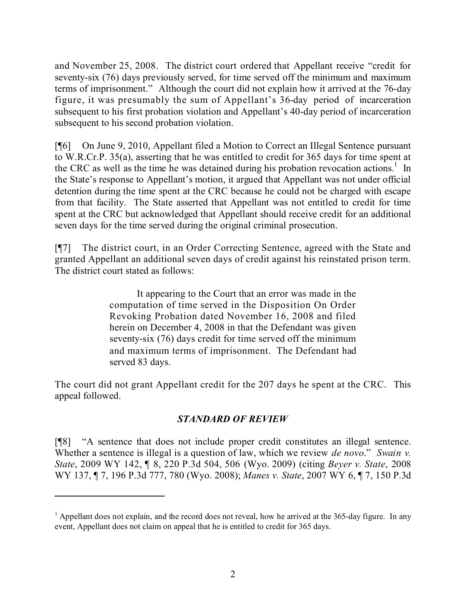and November 25, 2008. The district court ordered that Appellant receive "credit for seventy-six (76) days previously served, for time served off the minimum and maximum terms of imprisonment." Although the court did not explain how it arrived at the 76-day figure, it was presumably the sum of Appellant's 36-day period of incarceration subsequent to his first probation violation and Appellant's 40-day period of incarceration subsequent to his second probation violation.

[¶6] On June 9, 2010, Appellant filed a Motion to Correct an Illegal Sentence pursuant to W.R.Cr.P. 35(a), asserting that he was entitled to credit for 365 days for time spent at the CRC as well as the time he was detained during his probation revocation actions.<sup>1</sup> In the State's response to Appellant's motion, it argued that Appellant was not under official detention during the time spent at the CRC because he could not be charged with escape from that facility. The State asserted that Appellant was not entitled to credit for time spent at the CRC but acknowledged that Appellant should receive credit for an additional seven days for the time served during the original criminal prosecution.

[¶7] The district court, in an Order Correcting Sentence, agreed with the State and granted Appellant an additional seven days of credit against his reinstated prison term. The district court stated as follows:

> It appearing to the Court that an error was made in the computation of time served in the Disposition On Order Revoking Probation dated November 16, 2008 and filed herein on December 4, 2008 in that the Defendant was given seventy-six (76) days credit for time served off the minimum and maximum terms of imprisonment. The Defendant had served 83 days.

The court did not grant Appellant credit for the 207 days he spent at the CRC. This appeal followed.

# *STANDARD OF REVIEW*

[¶8] "A sentence that does not include proper credit constitutes an illegal sentence. Whether a sentence is illegal is a question of law, which we review *de novo*." *Swain v. State*, 2009 WY 142, ¶ 8, 220 P.3d 504, 506 (Wyo. 2009) (citing *Beyer v. State*, 2008 WY 137, ¶ 7, 196 P.3d 777, 780 (Wyo. 2008); *Manes v. State*, 2007 WY 6, ¶ 7, 150 P.3d

 $1$  Appellant does not explain, and the record does not reveal, how he arrived at the 365-day figure. In any event, Appellant does not claim on appeal that he is entitled to credit for 365 days.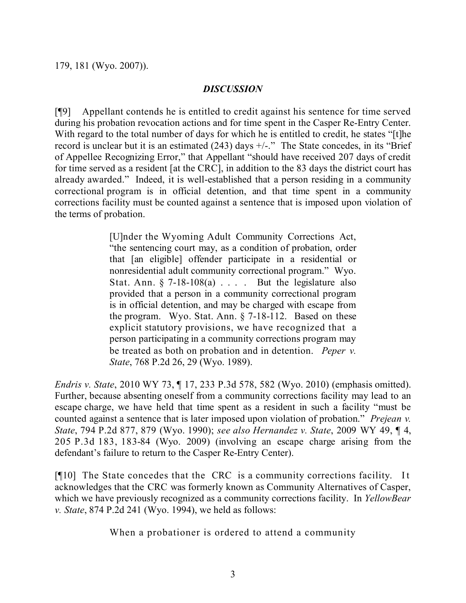### *DISCUSSION*

[¶9] Appellant contends he is entitled to credit against his sentence for time served during his probation revocation actions and for time spent in the Casper Re-Entry Center. With regard to the total number of days for which he is entitled to credit, he states "[t]he record is unclear but it is an estimated  $(243)$  days  $+/-$ ." The State concedes, in its "Brief of Appellee Recognizing Error," that Appellant "should have received 207 days of credit for time served as a resident [at the CRC], in addition to the 83 days the district court has already awarded." Indeed, it is well-established that a person residing in a community correctional program is in official detention, and that time spent in a community corrections facility must be counted against a sentence that is imposed upon violation of the terms of probation.

> [U]nder the Wyoming Adult Community Corrections Act, "the sentencing court may, as a condition of probation, order that [an eligible] offender participate in a residential or nonresidential adult community correctional program." Wyo. Stat. Ann.  $\S$  7-18-108(a) . . . . But the legislature also provided that a person in a community correctional program is in official detention, and may be charged with escape from the program. Wyo. Stat. Ann. § 7-18-112. Based on these explicit statutory provisions, we have recognized that a person participating in a community corrections program may be treated as both on probation and in detention. *Peper v. State*, 768 P.2d 26, 29 (Wyo. 1989).

*Endris v. State*, 2010 WY 73, ¶ 17, 233 P.3d 578, 582 (Wyo. 2010) (emphasis omitted). Further, because absenting oneself from a community corrections facility may lead to an escape charge, we have held that time spent as a resident in such a facility "must be counted against a sentence that is later imposed upon violation of probation." *Prejean v. State*, 794 P.2d 877, 879 (Wyo. 1990); *see also Hernandez v. State*, 2009 WY 49, ¶ 4, 205 P.3d 183, 183-84 (Wyo. 2009) (involving an escape charge arising from the defendant's failure to return to the Casper Re-Entry Center).

[¶10] The State concedes that the CRC is a community corrections facility. It acknowledges that the CRC was formerly known as Community Alternatives of Casper, which we have previously recognized as a community corrections facility. In *YellowBear v. State*, 874 P.2d 241 (Wyo. 1994), we held as follows:

When a probationer is ordered to attend a community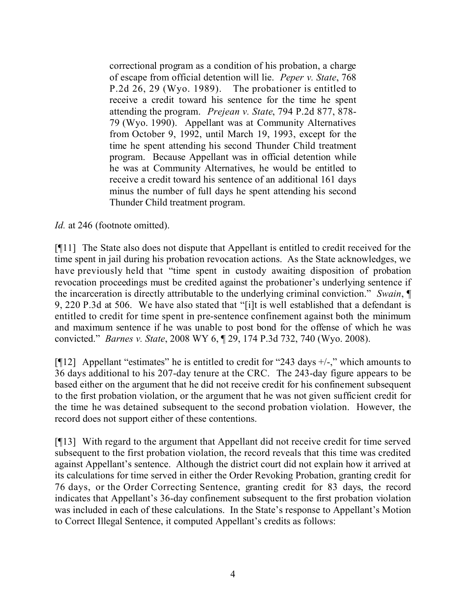correctional program as a condition of his probation, a charge of escape from official detention will lie. *Peper v. State*, 768 P.2d 26, 29 (Wyo. 1989). The probationer is entitled to receive a credit toward his sentence for the time he spent attending the program. *Prejean v. State*, 794 P.2d 877, 878- 79 (Wyo. 1990). Appellant was at Community Alternatives from October 9, 1992, until March 19, 1993, except for the time he spent attending his second Thunder Child treatment program. Because Appellant was in official detention while he was at Community Alternatives, he would be entitled to receive a credit toward his sentence of an additional 161 days minus the number of full days he spent attending his second Thunder Child treatment program.

*Id.* at 246 (footnote omitted).

[¶11] The State also does not dispute that Appellant is entitled to credit received for the time spent in jail during his probation revocation actions. As the State acknowledges, we have previously held that "time spent in custody awaiting disposition of probation revocation proceedings must be credited against the probationer's underlying sentence if the incarceration is directly attributable to the underlying criminal conviction." *Swain*, ¶ 9, 220 P.3d at 506. We have also stated that "[i]t is well established that a defendant is entitled to credit for time spent in pre-sentence confinement against both the minimum and maximum sentence if he was unable to post bond for the offense of which he was convicted." *Barnes v. State*, 2008 WY 6, ¶ 29, 174 P.3d 732, 740 (Wyo. 2008).

[ $[12]$  Appellant "estimates" he is entitled to credit for "243 days  $+/-$ ," which amounts to 36 days additional to his 207-day tenure at the CRC. The 243-day figure appears to be based either on the argument that he did not receive credit for his confinement subsequent to the first probation violation, or the argument that he was not given sufficient credit for the time he was detained subsequent to the second probation violation. However, the record does not support either of these contentions.

[¶13] With regard to the argument that Appellant did not receive credit for time served subsequent to the first probation violation, the record reveals that this time was credited against Appellant's sentence. Although the district court did not explain how it arrived at its calculations for time served in either the Order Revoking Probation, granting credit for 76 days, or the Order Correcting Sentence, granting credit for 83 days, the record indicates that Appellant's 36-day confinement subsequent to the first probation violation was included in each of these calculations. In the State's response to Appellant's Motion to Correct Illegal Sentence, it computed Appellant's credits as follows: